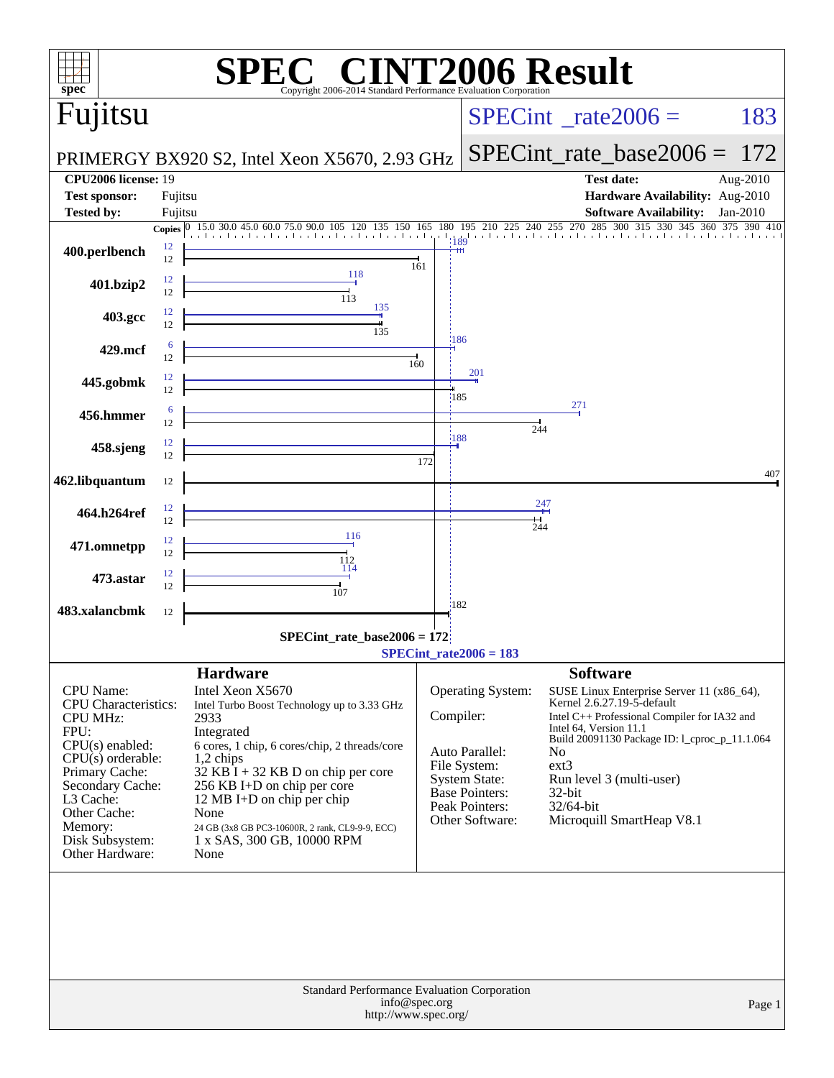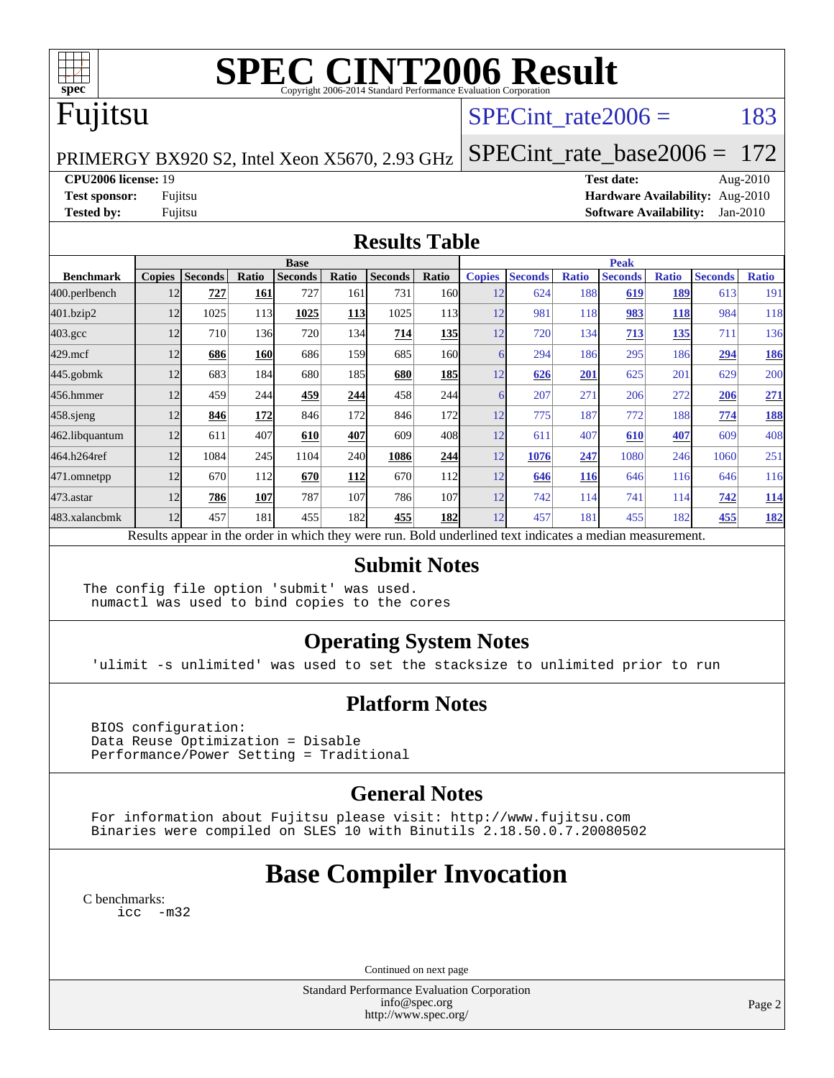

# **[SPEC CINT2006 Result](http://www.spec.org/auto/cpu2006/Docs/result-fields.html#SPECCINT2006Result)**

# Fujitsu

## SPECint rate $2006 = 183$

PRIMERGY BX920 S2, Intel Xeon X5670, 2.93 GHz

[SPECint\\_rate\\_base2006 =](http://www.spec.org/auto/cpu2006/Docs/result-fields.html#SPECintratebase2006) 172

**[CPU2006 license:](http://www.spec.org/auto/cpu2006/Docs/result-fields.html#CPU2006license)** 19 **[Test date:](http://www.spec.org/auto/cpu2006/Docs/result-fields.html#Testdate)** Aug-2010

**[Test sponsor:](http://www.spec.org/auto/cpu2006/Docs/result-fields.html#Testsponsor)** Fujitsu **[Hardware Availability:](http://www.spec.org/auto/cpu2006/Docs/result-fields.html#HardwareAvailability)** Aug-2010 **[Tested by:](http://www.spec.org/auto/cpu2006/Docs/result-fields.html#Testedby)** Fujitsu **[Software Availability:](http://www.spec.org/auto/cpu2006/Docs/result-fields.html#SoftwareAvailability)** Jan-2010

### **[Results Table](http://www.spec.org/auto/cpu2006/Docs/result-fields.html#ResultsTable)**

|                    | <b>Base</b>                                                                                              |                |       |                |       |                |                  |               | <b>Peak</b>    |              |                |              |                |              |  |  |
|--------------------|----------------------------------------------------------------------------------------------------------|----------------|-------|----------------|-------|----------------|------------------|---------------|----------------|--------------|----------------|--------------|----------------|--------------|--|--|
| <b>Benchmark</b>   | <b>Copies</b>                                                                                            | <b>Seconds</b> | Ratio | <b>Seconds</b> | Ratio | <b>Seconds</b> | Ratio            | <b>Copies</b> | <b>Seconds</b> | <b>Ratio</b> | <b>Seconds</b> | <b>Ratio</b> | <b>Seconds</b> | <b>Ratio</b> |  |  |
| 400.perlbench      | 12                                                                                                       | 727            | 161   | 727            | 161   | 731            | 160I             | 12            | 624            | 188          | 619            | 189          | 613            | 191          |  |  |
| 401.bzip2          | 12                                                                                                       | 1025           | 113   | 1025           | 113   | 1025           | 113 <sup> </sup> | 12            | 981            | 118          | 983            | <b>118</b>   | 984            | 118          |  |  |
| $403.\mathrm{gcc}$ | 12                                                                                                       | 710            | 136   | 720            | 134   | 714            | <b>135</b>       | 12            | 720            | 134          | 713            | <u>135</u>   | 711            | 136          |  |  |
| $429$ .mcf         | 12                                                                                                       | 686            | 160   | 686            | 159   | 685            | 160              |               | 294            | 186          | 295            | 186          | 294            | 186          |  |  |
| $445$ .gobmk       | 12                                                                                                       | 683            | 184   | 680            | 185   | 680            | <b>185</b>       | 12            | 626            | 201          | 625            | 201          | 629            | 200          |  |  |
| 456.hmmer          | 12                                                                                                       | 459            | 244   | 459            | 244   | 458            | 244              |               | 207            | 271          | 206            | 272          | 206            | 271          |  |  |
| $458$ .sjeng       | 12                                                                                                       | 846            | 172   | 846            | 172   | 846            | 172              | 12            | 775            | 187          | 772            | 188          | 774            | <u>188</u>   |  |  |
| 462.libquantum     | 12                                                                                                       | 611            | 407   | 610            | 407   | 609            | 408              | 12            | 611            | 407          | 610            | 407          | 609            | 408          |  |  |
| 464.h264ref        | 12                                                                                                       | 1084           | 245   | 1104           | 240   | 1086           | 244              | 12            | 1076           | 247          | 1080           | 246          | 1060           | 251          |  |  |
| 471.omnetpp        | 12                                                                                                       | 670            | 112   | 670            | 112   | 670            | 112              | 12            | 646            | <b>116</b>   | 646            | 116          | 646            | 116          |  |  |
| $473.$ astar       | 12                                                                                                       | 786            | 107   | 787            | 107   | 786            | 107              | 12            | 742            | 114          | 741            | 114          | 742            | 114          |  |  |
| 483.xalancbmk      | 12                                                                                                       | 457            | 181   | 455            | 182   | 455            | 182              | 12            | 457            | 181          | 455            | 182          | 455            | 182          |  |  |
|                    | Results appear in the order in which they were run. Bold underlined text indicates a median measurement. |                |       |                |       |                |                  |               |                |              |                |              |                |              |  |  |

### **[Submit Notes](http://www.spec.org/auto/cpu2006/Docs/result-fields.html#SubmitNotes)**

The config file option 'submit' was used. numactl was used to bind copies to the cores

## **[Operating System Notes](http://www.spec.org/auto/cpu2006/Docs/result-fields.html#OperatingSystemNotes)**

'ulimit -s unlimited' was used to set the stacksize to unlimited prior to run

### **[Platform Notes](http://www.spec.org/auto/cpu2006/Docs/result-fields.html#PlatformNotes)**

 BIOS configuration: Data Reuse Optimization = Disable Performance/Power Setting = Traditional

## **[General Notes](http://www.spec.org/auto/cpu2006/Docs/result-fields.html#GeneralNotes)**

 For information about Fujitsu please visit: <http://www.fujitsu.com> Binaries were compiled on SLES 10 with Binutils 2.18.50.0.7.20080502

## **[Base Compiler Invocation](http://www.spec.org/auto/cpu2006/Docs/result-fields.html#BaseCompilerInvocation)**

[C benchmarks](http://www.spec.org/auto/cpu2006/Docs/result-fields.html#Cbenchmarks): [icc -m32](http://www.spec.org/cpu2006/results/res2010q3/cpu2006-20100827-13085.flags.html#user_CCbase_intel_icc_32bit_5ff4a39e364c98233615fdd38438c6f2)

Continued on next page

Standard Performance Evaluation Corporation [info@spec.org](mailto:info@spec.org) <http://www.spec.org/>

Page 2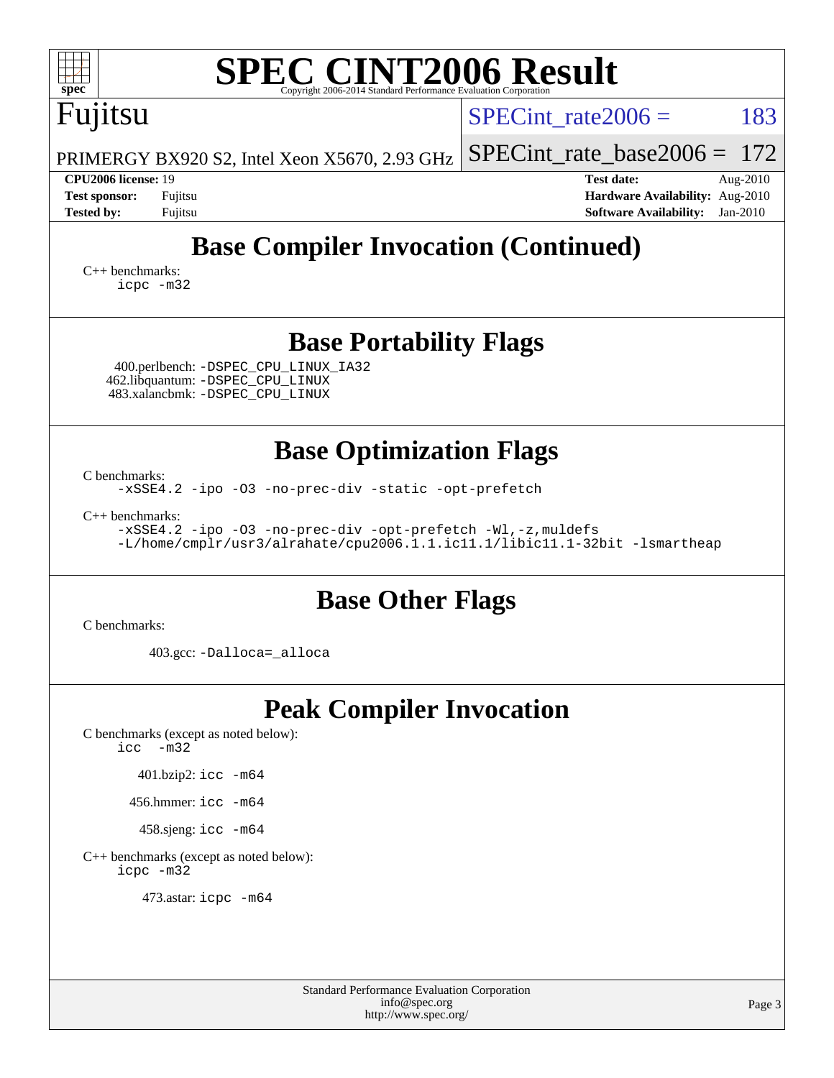| <b>SPEC CINT2006 Result</b><br>$spec^*$<br>Copyright 2006-2014 Standard Performance Evaluation Corporation                                                                                                                                                                    |                                                                  |  |  |  |  |  |  |  |
|-------------------------------------------------------------------------------------------------------------------------------------------------------------------------------------------------------------------------------------------------------------------------------|------------------------------------------------------------------|--|--|--|--|--|--|--|
| Fujitsu                                                                                                                                                                                                                                                                       | 183<br>$SPECint rate 2006 =$                                     |  |  |  |  |  |  |  |
| PRIMERGY BX920 S2, Intel Xeon X5670, 2.93 GHz                                                                                                                                                                                                                                 | $SPECint_rate_base2006 =$<br>172                                 |  |  |  |  |  |  |  |
| <b>CPU2006 license: 19</b><br><b>Test sponsor:</b><br>Fujitsu                                                                                                                                                                                                                 | <b>Test date:</b><br>Aug-2010<br>Hardware Availability: Aug-2010 |  |  |  |  |  |  |  |
| <b>Tested by:</b><br>Fujitsu                                                                                                                                                                                                                                                  | <b>Software Availability:</b><br>$Jan-2010$                      |  |  |  |  |  |  |  |
| <b>Base Compiler Invocation (Continued)</b><br>$C_{++}$ benchmarks:<br>icpc -m32                                                                                                                                                                                              |                                                                  |  |  |  |  |  |  |  |
| <b>Base Portability Flags</b><br>400.perlbench: -DSPEC_CPU_LINUX_IA32<br>462.libquantum: -DSPEC_CPU_LINUX<br>483.xalancbmk: - DSPEC CPU LINUX                                                                                                                                 |                                                                  |  |  |  |  |  |  |  |
| <b>Base Optimization Flags</b><br>C benchmarks:<br>-xSSE4.2 -ipo -03 -no-prec-div -static -opt-prefetch<br>$C_{++}$ benchmarks:<br>-xSSE4.2 -ipo -03 -no-prec-div -opt-prefetch -Wl,-z, muldefs<br>-L/home/cmplr/usr3/alrahate/cpu2006.1.1.ic11.1/libic11.1-32bit -lsmartheap |                                                                  |  |  |  |  |  |  |  |
| <b>Base Other Flags</b><br>C benchmarks:                                                                                                                                                                                                                                      |                                                                  |  |  |  |  |  |  |  |
| 403.gcc: -Dalloca=_alloca                                                                                                                                                                                                                                                     |                                                                  |  |  |  |  |  |  |  |
| <b>Peak Compiler Invocation</b><br>C benchmarks (except as noted below):<br>icc<br>$-m32$<br>401.bzip2: icc -m64<br>456.hmmer: icc -m64<br>458.sjeng: icc -m64<br>C++ benchmarks (except as noted below):<br>icpc -m32                                                        |                                                                  |  |  |  |  |  |  |  |
| 473.astar: icpc -m64                                                                                                                                                                                                                                                          |                                                                  |  |  |  |  |  |  |  |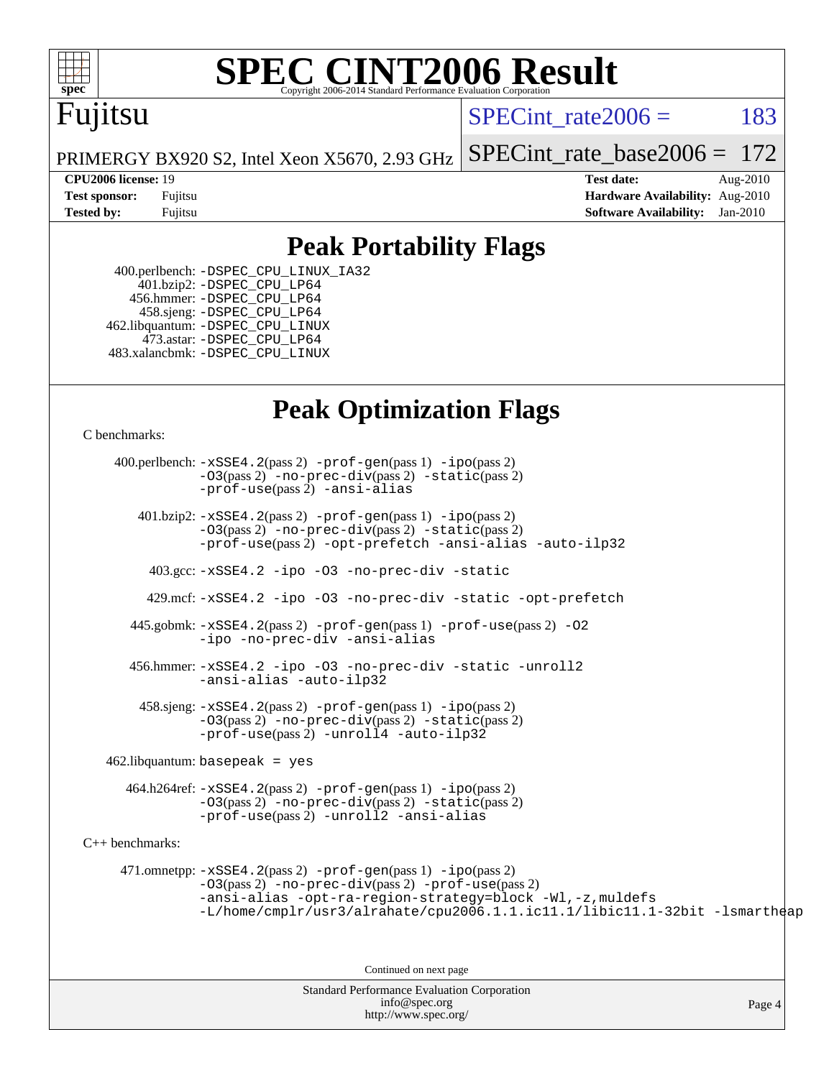

# **[SPEC CINT2006 Result](http://www.spec.org/auto/cpu2006/Docs/result-fields.html#SPECCINT2006Result)**

## Fujitsu

SPECint rate $2006 = 183$ 

PRIMERGY BX920 S2, Intel Xeon X5670, 2.93 GHz [SPECint\\_rate\\_base2006 =](http://www.spec.org/auto/cpu2006/Docs/result-fields.html#SPECintratebase2006) 172

**[CPU2006 license:](http://www.spec.org/auto/cpu2006/Docs/result-fields.html#CPU2006license)** 19 **[Test date:](http://www.spec.org/auto/cpu2006/Docs/result-fields.html#Testdate)** Aug-2010 **[Test sponsor:](http://www.spec.org/auto/cpu2006/Docs/result-fields.html#Testsponsor)** Fujitsu **[Hardware Availability:](http://www.spec.org/auto/cpu2006/Docs/result-fields.html#HardwareAvailability)** Aug-2010 **[Tested by:](http://www.spec.org/auto/cpu2006/Docs/result-fields.html#Testedby)** Fujitsu **[Software Availability:](http://www.spec.org/auto/cpu2006/Docs/result-fields.html#SoftwareAvailability)** Jan-2010

## **[Peak Portability Flags](http://www.spec.org/auto/cpu2006/Docs/result-fields.html#PeakPortabilityFlags)**

 400.perlbench: [-DSPEC\\_CPU\\_LINUX\\_IA32](http://www.spec.org/cpu2006/results/res2010q3/cpu2006-20100827-13085.flags.html#b400.perlbench_peakCPORTABILITY_DSPEC_CPU_LINUX_IA32) 401.bzip2: [-DSPEC\\_CPU\\_LP64](http://www.spec.org/cpu2006/results/res2010q3/cpu2006-20100827-13085.flags.html#suite_peakCPORTABILITY401_bzip2_DSPEC_CPU_LP64) 456.hmmer: [-DSPEC\\_CPU\\_LP64](http://www.spec.org/cpu2006/results/res2010q3/cpu2006-20100827-13085.flags.html#suite_peakCPORTABILITY456_hmmer_DSPEC_CPU_LP64) 458.sjeng: [-DSPEC\\_CPU\\_LP64](http://www.spec.org/cpu2006/results/res2010q3/cpu2006-20100827-13085.flags.html#suite_peakCPORTABILITY458_sjeng_DSPEC_CPU_LP64) 462.libquantum: [-DSPEC\\_CPU\\_LINUX](http://www.spec.org/cpu2006/results/res2010q3/cpu2006-20100827-13085.flags.html#b462.libquantum_peakCPORTABILITY_DSPEC_CPU_LINUX) 473.astar: [-DSPEC\\_CPU\\_LP64](http://www.spec.org/cpu2006/results/res2010q3/cpu2006-20100827-13085.flags.html#suite_peakCXXPORTABILITY473_astar_DSPEC_CPU_LP64) 483.xalancbmk: [-DSPEC\\_CPU\\_LINUX](http://www.spec.org/cpu2006/results/res2010q3/cpu2006-20100827-13085.flags.html#b483.xalancbmk_peakCXXPORTABILITY_DSPEC_CPU_LINUX)

## **[Peak Optimization Flags](http://www.spec.org/auto/cpu2006/Docs/result-fields.html#PeakOptimizationFlags)**

[C benchmarks](http://www.spec.org/auto/cpu2006/Docs/result-fields.html#Cbenchmarks):

Standard Performance Evaluation Corporation [info@spec.org](mailto:info@spec.org) 400.perlbench: [-xSSE4.2](http://www.spec.org/cpu2006/results/res2010q3/cpu2006-20100827-13085.flags.html#user_peakPASS2_CFLAGSPASS2_LDCFLAGS400_perlbench_f-xSSE42_f91528193cf0b216347adb8b939d4107)(pass 2) [-prof-gen](http://www.spec.org/cpu2006/results/res2010q3/cpu2006-20100827-13085.flags.html#user_peakPASS1_CFLAGSPASS1_LDCFLAGS400_perlbench_prof_gen_e43856698f6ca7b7e442dfd80e94a8fc)(pass 1) [-ipo](http://www.spec.org/cpu2006/results/res2010q3/cpu2006-20100827-13085.flags.html#user_peakPASS2_CFLAGSPASS2_LDCFLAGS400_perlbench_f-ipo)(pass 2) [-O3](http://www.spec.org/cpu2006/results/res2010q3/cpu2006-20100827-13085.flags.html#user_peakPASS2_CFLAGSPASS2_LDCFLAGS400_perlbench_f-O3)(pass 2) [-no-prec-div](http://www.spec.org/cpu2006/results/res2010q3/cpu2006-20100827-13085.flags.html#user_peakPASS2_CFLAGSPASS2_LDCFLAGS400_perlbench_f-no-prec-div)(pass 2) [-static](http://www.spec.org/cpu2006/results/res2010q3/cpu2006-20100827-13085.flags.html#user_peakPASS2_CFLAGSPASS2_LDCFLAGS400_perlbench_f-static)(pass 2) [-prof-use](http://www.spec.org/cpu2006/results/res2010q3/cpu2006-20100827-13085.flags.html#user_peakPASS2_CFLAGSPASS2_LDCFLAGS400_perlbench_prof_use_bccf7792157ff70d64e32fe3e1250b55)(pass 2) [-ansi-alias](http://www.spec.org/cpu2006/results/res2010q3/cpu2006-20100827-13085.flags.html#user_peakCOPTIMIZE400_perlbench_f-ansi-alias) 401.bzip2: [-xSSE4.2](http://www.spec.org/cpu2006/results/res2010q3/cpu2006-20100827-13085.flags.html#user_peakPASS2_CFLAGSPASS2_LDCFLAGS401_bzip2_f-xSSE42_f91528193cf0b216347adb8b939d4107)(pass 2) [-prof-gen](http://www.spec.org/cpu2006/results/res2010q3/cpu2006-20100827-13085.flags.html#user_peakPASS1_CFLAGSPASS1_LDCFLAGS401_bzip2_prof_gen_e43856698f6ca7b7e442dfd80e94a8fc)(pass 1) [-ipo](http://www.spec.org/cpu2006/results/res2010q3/cpu2006-20100827-13085.flags.html#user_peakPASS2_CFLAGSPASS2_LDCFLAGS401_bzip2_f-ipo)(pass 2) [-O3](http://www.spec.org/cpu2006/results/res2010q3/cpu2006-20100827-13085.flags.html#user_peakPASS2_CFLAGSPASS2_LDCFLAGS401_bzip2_f-O3)(pass 2) [-no-prec-div](http://www.spec.org/cpu2006/results/res2010q3/cpu2006-20100827-13085.flags.html#user_peakPASS2_CFLAGSPASS2_LDCFLAGS401_bzip2_f-no-prec-div)(pass 2) [-static](http://www.spec.org/cpu2006/results/res2010q3/cpu2006-20100827-13085.flags.html#user_peakPASS2_CFLAGSPASS2_LDCFLAGS401_bzip2_f-static)(pass 2) [-prof-use](http://www.spec.org/cpu2006/results/res2010q3/cpu2006-20100827-13085.flags.html#user_peakPASS2_CFLAGSPASS2_LDCFLAGS401_bzip2_prof_use_bccf7792157ff70d64e32fe3e1250b55)(pass 2) [-opt-prefetch](http://www.spec.org/cpu2006/results/res2010q3/cpu2006-20100827-13085.flags.html#user_peakCOPTIMIZE401_bzip2_f-opt-prefetch) [-ansi-alias](http://www.spec.org/cpu2006/results/res2010q3/cpu2006-20100827-13085.flags.html#user_peakCOPTIMIZE401_bzip2_f-ansi-alias) [-auto-ilp32](http://www.spec.org/cpu2006/results/res2010q3/cpu2006-20100827-13085.flags.html#user_peakCOPTIMIZE401_bzip2_f-auto-ilp32) 403.gcc: [-xSSE4.2](http://www.spec.org/cpu2006/results/res2010q3/cpu2006-20100827-13085.flags.html#user_peakCOPTIMIZE403_gcc_f-xSSE42_f91528193cf0b216347adb8b939d4107) [-ipo](http://www.spec.org/cpu2006/results/res2010q3/cpu2006-20100827-13085.flags.html#user_peakCOPTIMIZE403_gcc_f-ipo) [-O3](http://www.spec.org/cpu2006/results/res2010q3/cpu2006-20100827-13085.flags.html#user_peakCOPTIMIZE403_gcc_f-O3) [-no-prec-div](http://www.spec.org/cpu2006/results/res2010q3/cpu2006-20100827-13085.flags.html#user_peakCOPTIMIZE403_gcc_f-no-prec-div) [-static](http://www.spec.org/cpu2006/results/res2010q3/cpu2006-20100827-13085.flags.html#user_peakCOPTIMIZE403_gcc_f-static) 429.mcf: [-xSSE4.2](http://www.spec.org/cpu2006/results/res2010q3/cpu2006-20100827-13085.flags.html#user_peakCOPTIMIZE429_mcf_f-xSSE42_f91528193cf0b216347adb8b939d4107) [-ipo](http://www.spec.org/cpu2006/results/res2010q3/cpu2006-20100827-13085.flags.html#user_peakCOPTIMIZE429_mcf_f-ipo) [-O3](http://www.spec.org/cpu2006/results/res2010q3/cpu2006-20100827-13085.flags.html#user_peakCOPTIMIZE429_mcf_f-O3) [-no-prec-div](http://www.spec.org/cpu2006/results/res2010q3/cpu2006-20100827-13085.flags.html#user_peakCOPTIMIZE429_mcf_f-no-prec-div) [-static](http://www.spec.org/cpu2006/results/res2010q3/cpu2006-20100827-13085.flags.html#user_peakCOPTIMIZE429_mcf_f-static) [-opt-prefetch](http://www.spec.org/cpu2006/results/res2010q3/cpu2006-20100827-13085.flags.html#user_peakCOPTIMIZE429_mcf_f-opt-prefetch) 445.gobmk: [-xSSE4.2](http://www.spec.org/cpu2006/results/res2010q3/cpu2006-20100827-13085.flags.html#user_peakPASS2_CFLAGSPASS2_LDCFLAGS445_gobmk_f-xSSE42_f91528193cf0b216347adb8b939d4107)(pass 2) [-prof-gen](http://www.spec.org/cpu2006/results/res2010q3/cpu2006-20100827-13085.flags.html#user_peakPASS1_CFLAGSPASS1_LDCFLAGS445_gobmk_prof_gen_e43856698f6ca7b7e442dfd80e94a8fc)(pass 1) [-prof-use](http://www.spec.org/cpu2006/results/res2010q3/cpu2006-20100827-13085.flags.html#user_peakPASS2_CFLAGSPASS2_LDCFLAGS445_gobmk_prof_use_bccf7792157ff70d64e32fe3e1250b55)(pass 2) [-O2](http://www.spec.org/cpu2006/results/res2010q3/cpu2006-20100827-13085.flags.html#user_peakCOPTIMIZE445_gobmk_f-O2) [-ipo](http://www.spec.org/cpu2006/results/res2010q3/cpu2006-20100827-13085.flags.html#user_peakCOPTIMIZE445_gobmk_f-ipo) [-no-prec-div](http://www.spec.org/cpu2006/results/res2010q3/cpu2006-20100827-13085.flags.html#user_peakCOPTIMIZE445_gobmk_f-no-prec-div) [-ansi-alias](http://www.spec.org/cpu2006/results/res2010q3/cpu2006-20100827-13085.flags.html#user_peakCOPTIMIZE445_gobmk_f-ansi-alias) 456.hmmer: [-xSSE4.2](http://www.spec.org/cpu2006/results/res2010q3/cpu2006-20100827-13085.flags.html#user_peakCOPTIMIZE456_hmmer_f-xSSE42_f91528193cf0b216347adb8b939d4107) [-ipo](http://www.spec.org/cpu2006/results/res2010q3/cpu2006-20100827-13085.flags.html#user_peakCOPTIMIZE456_hmmer_f-ipo) [-O3](http://www.spec.org/cpu2006/results/res2010q3/cpu2006-20100827-13085.flags.html#user_peakCOPTIMIZE456_hmmer_f-O3) [-no-prec-div](http://www.spec.org/cpu2006/results/res2010q3/cpu2006-20100827-13085.flags.html#user_peakCOPTIMIZE456_hmmer_f-no-prec-div) [-static](http://www.spec.org/cpu2006/results/res2010q3/cpu2006-20100827-13085.flags.html#user_peakCOPTIMIZE456_hmmer_f-static) [-unroll2](http://www.spec.org/cpu2006/results/res2010q3/cpu2006-20100827-13085.flags.html#user_peakCOPTIMIZE456_hmmer_f-unroll_784dae83bebfb236979b41d2422d7ec2) [-ansi-alias](http://www.spec.org/cpu2006/results/res2010q3/cpu2006-20100827-13085.flags.html#user_peakCOPTIMIZE456_hmmer_f-ansi-alias) [-auto-ilp32](http://www.spec.org/cpu2006/results/res2010q3/cpu2006-20100827-13085.flags.html#user_peakCOPTIMIZE456_hmmer_f-auto-ilp32)  $458 \text{.}$  sjeng:  $-xSSE4$ .  $2(\text{pass 2})$  -prof-qen(pass 1) [-ipo](http://www.spec.org/cpu2006/results/res2010q3/cpu2006-20100827-13085.flags.html#user_peakPASS2_CFLAGSPASS2_LDCFLAGS458_sjeng_f-ipo)(pass 2) [-O3](http://www.spec.org/cpu2006/results/res2010q3/cpu2006-20100827-13085.flags.html#user_peakPASS2_CFLAGSPASS2_LDCFLAGS458_sjeng_f-O3)(pass 2) [-no-prec-div](http://www.spec.org/cpu2006/results/res2010q3/cpu2006-20100827-13085.flags.html#user_peakPASS2_CFLAGSPASS2_LDCFLAGS458_sjeng_f-no-prec-div)(pass 2) [-static](http://www.spec.org/cpu2006/results/res2010q3/cpu2006-20100827-13085.flags.html#user_peakPASS2_CFLAGSPASS2_LDCFLAGS458_sjeng_f-static)(pass 2) [-prof-use](http://www.spec.org/cpu2006/results/res2010q3/cpu2006-20100827-13085.flags.html#user_peakPASS2_CFLAGSPASS2_LDCFLAGS458_sjeng_prof_use_bccf7792157ff70d64e32fe3e1250b55)(pass 2) [-unroll4](http://www.spec.org/cpu2006/results/res2010q3/cpu2006-20100827-13085.flags.html#user_peakCOPTIMIZE458_sjeng_f-unroll_4e5e4ed65b7fd20bdcd365bec371b81f) [-auto-ilp32](http://www.spec.org/cpu2006/results/res2010q3/cpu2006-20100827-13085.flags.html#user_peakCOPTIMIZE458_sjeng_f-auto-ilp32)  $462$ .libquantum: basepeak = yes 464.h264ref: [-xSSE4.2](http://www.spec.org/cpu2006/results/res2010q3/cpu2006-20100827-13085.flags.html#user_peakPASS2_CFLAGSPASS2_LDCFLAGS464_h264ref_f-xSSE42_f91528193cf0b216347adb8b939d4107)(pass 2) [-prof-gen](http://www.spec.org/cpu2006/results/res2010q3/cpu2006-20100827-13085.flags.html#user_peakPASS1_CFLAGSPASS1_LDCFLAGS464_h264ref_prof_gen_e43856698f6ca7b7e442dfd80e94a8fc)(pass 1) [-ipo](http://www.spec.org/cpu2006/results/res2010q3/cpu2006-20100827-13085.flags.html#user_peakPASS2_CFLAGSPASS2_LDCFLAGS464_h264ref_f-ipo)(pass 2) [-O3](http://www.spec.org/cpu2006/results/res2010q3/cpu2006-20100827-13085.flags.html#user_peakPASS2_CFLAGSPASS2_LDCFLAGS464_h264ref_f-O3)(pass 2) [-no-prec-div](http://www.spec.org/cpu2006/results/res2010q3/cpu2006-20100827-13085.flags.html#user_peakPASS2_CFLAGSPASS2_LDCFLAGS464_h264ref_f-no-prec-div)(pass 2) [-static](http://www.spec.org/cpu2006/results/res2010q3/cpu2006-20100827-13085.flags.html#user_peakPASS2_CFLAGSPASS2_LDCFLAGS464_h264ref_f-static)(pass 2) [-prof-use](http://www.spec.org/cpu2006/results/res2010q3/cpu2006-20100827-13085.flags.html#user_peakPASS2_CFLAGSPASS2_LDCFLAGS464_h264ref_prof_use_bccf7792157ff70d64e32fe3e1250b55)(pass 2) [-unroll2](http://www.spec.org/cpu2006/results/res2010q3/cpu2006-20100827-13085.flags.html#user_peakCOPTIMIZE464_h264ref_f-unroll_784dae83bebfb236979b41d2422d7ec2) [-ansi-alias](http://www.spec.org/cpu2006/results/res2010q3/cpu2006-20100827-13085.flags.html#user_peakCOPTIMIZE464_h264ref_f-ansi-alias) [C++ benchmarks:](http://www.spec.org/auto/cpu2006/Docs/result-fields.html#CXXbenchmarks) 471.omnetpp: [-xSSE4.2](http://www.spec.org/cpu2006/results/res2010q3/cpu2006-20100827-13085.flags.html#user_peakPASS2_CXXFLAGSPASS2_LDCXXFLAGS471_omnetpp_f-xSSE42_f91528193cf0b216347adb8b939d4107)(pass 2) [-prof-gen](http://www.spec.org/cpu2006/results/res2010q3/cpu2006-20100827-13085.flags.html#user_peakPASS1_CXXFLAGSPASS1_LDCXXFLAGS471_omnetpp_prof_gen_e43856698f6ca7b7e442dfd80e94a8fc)(pass 1) [-ipo](http://www.spec.org/cpu2006/results/res2010q3/cpu2006-20100827-13085.flags.html#user_peakPASS2_CXXFLAGSPASS2_LDCXXFLAGS471_omnetpp_f-ipo)(pass 2) [-O3](http://www.spec.org/cpu2006/results/res2010q3/cpu2006-20100827-13085.flags.html#user_peakPASS2_CXXFLAGSPASS2_LDCXXFLAGS471_omnetpp_f-O3)(pass 2) [-no-prec-div](http://www.spec.org/cpu2006/results/res2010q3/cpu2006-20100827-13085.flags.html#user_peakPASS2_CXXFLAGSPASS2_LDCXXFLAGS471_omnetpp_f-no-prec-div)(pass 2) [-prof-use](http://www.spec.org/cpu2006/results/res2010q3/cpu2006-20100827-13085.flags.html#user_peakPASS2_CXXFLAGSPASS2_LDCXXFLAGS471_omnetpp_prof_use_bccf7792157ff70d64e32fe3e1250b55)(pass 2) [-ansi-alias](http://www.spec.org/cpu2006/results/res2010q3/cpu2006-20100827-13085.flags.html#user_peakCXXOPTIMIZE471_omnetpp_f-ansi-alias) [-opt-ra-region-strategy=block](http://www.spec.org/cpu2006/results/res2010q3/cpu2006-20100827-13085.flags.html#user_peakCXXOPTIMIZE471_omnetpp_f-opt-ra-region-strategy-block_a0a37c372d03933b2a18d4af463c1f69) [-Wl,-z,muldefs](http://www.spec.org/cpu2006/results/res2010q3/cpu2006-20100827-13085.flags.html#user_peakEXTRA_LDFLAGS471_omnetpp_link_force_multiple1_74079c344b956b9658436fd1b6dd3a8a) [-L/home/cmplr/usr3/alrahate/cpu2006.1.1.ic11.1/libic11.1-32bit -lsmartheap](http://www.spec.org/cpu2006/results/res2010q3/cpu2006-20100827-13085.flags.html#user_peakEXTRA_LIBS471_omnetpp_SmartHeap_d86dffe4a79b79ef8890d5cce17030c3) Continued on next page

<http://www.spec.org/>

Page 4